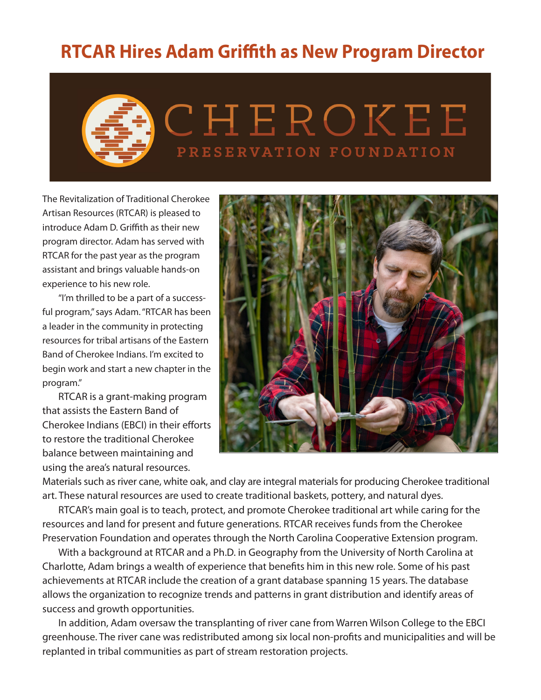## **RTCAR Hires Adam Griffith as New Program Director**



The Revitalization of Traditional Cherokee Artisan Resources (RTCAR) is pleased to introduce Adam D. Griffith as their new program director. Adam has served with RTCAR for the past year as the program assistant and brings valuable hands-on experience to his new role.

"I'm thrilled to be a part of a successful program," says Adam. "RTCAR has been a leader in the community in protecting resources for tribal artisans of the Eastern Band of Cherokee Indians. I'm excited to begin work and start a new chapter in the program."

RTCAR is a grant-making program that assists the Eastern Band of Cherokee Indians (EBCI) in their efforts to restore the traditional Cherokee balance between maintaining and using the area's natural resources.



Materials such as river cane, white oak, and clay are integral materials for producing Cherokee traditional art. These natural resources are used to create traditional baskets, pottery, and natural dyes.

RTCAR's main goal is to teach, protect, and promote Cherokee traditional art while caring for the resources and land for present and future generations. RTCAR receives funds from the Cherokee Preservation Foundation and operates through the North Carolina Cooperative Extension program.

With a background at RTCAR and a Ph.D. in Geography from the University of North Carolina at Charlotte, Adam brings a wealth of experience that benefits him in this new role. Some of his past achievements at RTCAR include the creation of a grant database spanning 15 years. The database allows the organization to recognize trends and patterns in grant distribution and identify areas of success and growth opportunities.

In addition, Adam oversaw the transplanting of river cane from Warren Wilson College to the EBCI greenhouse. The river cane was redistributed among six local non-profits and municipalities and will be replanted in tribal communities as part of stream restoration projects.